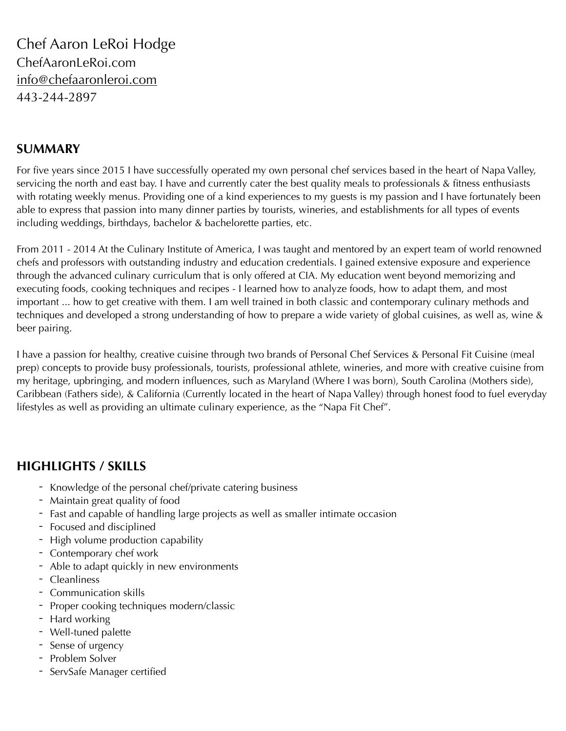Chef Aaron LeRoi Hodge ChefAaronLeRoi.com [info@chefaaronleroi.com](mailto:info@chefaaronleroi.com) 443-244-2897

# **SUMMARY**

For five years since 2015 I have successfully operated my own personal chef services based in the heart of Napa Valley, servicing the north and east bay. I have and currently cater the best quality meals to professionals & fitness enthusiasts with rotating weekly menus. Providing one of a kind experiences to my guests is my passion and I have fortunately been able to express that passion into many dinner parties by tourists, wineries, and establishments for all types of events including weddings, birthdays, bachelor & bachelorette parties, etc.

From 2011 - 2014 At the Culinary Institute of America, I was taught and mentored by an expert team of world renowned chefs and professors with outstanding industry and education credentials. I gained extensive exposure and experience through the advanced culinary curriculum that is only offered at CIA. My education went beyond memorizing and executing foods, cooking techniques and recipes - I learned how to analyze foods, how to adapt them, and most important ... how to get creative with them. I am well trained in both classic and contemporary culinary methods and techniques and developed a strong understanding of how to prepare a wide variety of global cuisines, as well as, wine & beer pairing.

I have a passion for healthy, creative cuisine through two brands of Personal Chef Services & Personal Fit Cuisine (meal prep) concepts to provide busy professionals, tourists, professional athlete, wineries, and more with creative cuisine from my heritage, upbringing, and modern influences, such as Maryland (Where I was born), South Carolina (Mothers side), Caribbean (Fathers side), & California (Currently located in the heart of Napa Valley) through honest food to fuel everyday lifestyles as well as providing an ultimate culinary experience, as the "Napa Fit Chef".

# **HIGHLIGHTS / SKILLS**

- Knowledge of the personal chef/private catering business
- Maintain great quality of food
- Fast and capable of handling large projects as well as smaller intimate occasion
- Focused and disciplined
- High volume production capability
- Contemporary chef work
- Able to adapt quickly in new environments
- Cleanliness
- Communication skills
- Proper cooking techniques modern/classic
- Hard working
- Well-tuned palette
- Sense of urgency
- Problem Solver
- ServSafe Manager certified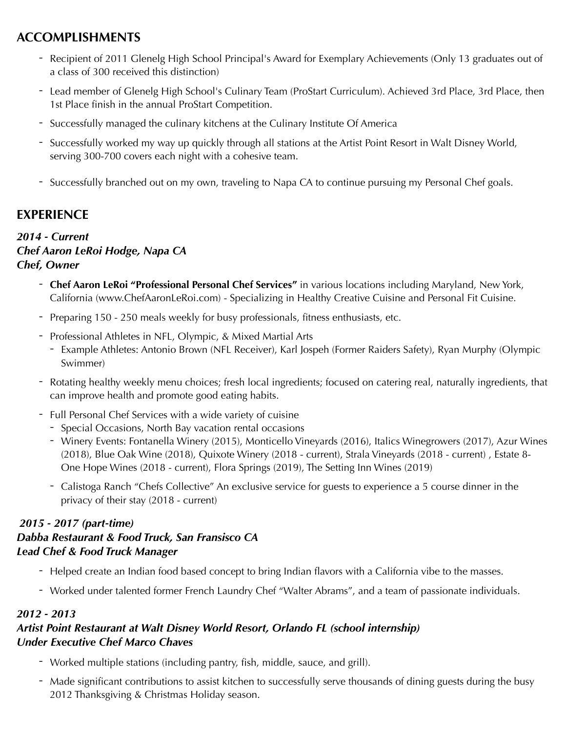# **ACCOMPLISHMENTS**

- Recipient of 2011 Glenelg High School Principal's Award for Exemplary Achievements (Only 13 graduates out of a class of 300 received this distinction)
- Lead member of Glenelg High School's Culinary Team (ProStart Curriculum). Achieved 3rd Place, 3rd Place, then 1st Place finish in the annual ProStart Competition.
- Successfully managed the culinary kitchens at the Culinary Institute Of America
- Successfully worked my way up quickly through all stations at the Artist Point Resort in Walt Disney World, serving 300-700 covers each night with a cohesive team.
- Successfully branched out on my own, traveling to Napa CA to continue pursuing my Personal Chef goals.

# **EXPERIENCE**

## *2014 - Current Chef Aaron LeRoi Hodge, Napa CA Chef, Owner*

- **Chef Aaron LeRoi "Professional Personal Chef Services"** in various locations including Maryland, New York, California (www.ChefAaronLeRoi.com) - Specializing in Healthy Creative Cuisine and Personal Fit Cuisine.
- Preparing 150 250 meals weekly for busy professionals, fitness enthusiasts, etc.
- Professional Athletes in NFL, Olympic, & Mixed Martial Arts
	- Example Athletes: Antonio Brown (NFL Receiver), Karl Jospeh (Former Raiders Safety), Ryan Murphy (Olympic Swimmer)
- Rotating healthy weekly menu choices; fresh local ingredients; focused on catering real, naturally ingredients, that can improve health and promote good eating habits.
- Full Personal Chef Services with a wide variety of cuisine
	- Special Occasions, North Bay vacation rental occasions
	- Winery Events: Fontanella Winery (2015), Monticello Vineyards (2016), Italics Winegrowers (2017), Azur Wines (2018), Blue Oak Wine (2018), Quixote Winery (2018 - current), Strala Vineyards (2018 - current) , Estate 8- One Hope Wines (2018 - current), Flora Springs (2019), The Setting Inn Wines (2019)
	- Calistoga Ranch "Chefs Collective" An exclusive service for guests to experience a 5 course dinner in the privacy of their stay (2018 - current)

## *2015 - 2017 (part-time) Dabba Restaurant & Food Truck, San Fransisco CA Lead Chef & Food Truck Manager*

- Helped create an Indian food based concept to bring Indian flavors with a California vibe to the masses.
- Worked under talented former French Laundry Chef "Walter Abrams", and a team of passionate individuals.

## *2012 - 2013*

## *Artist Point Restaurant at Walt Disney World Resort, Orlando FL (school internship) Under Executive Chef Marco Chaves*

- Worked multiple stations (including pantry, fish, middle, sauce, and grill).
- Made significant contributions to assist kitchen to successfully serve thousands of dining guests during the busy 2012 Thanksgiving & Christmas Holiday season.